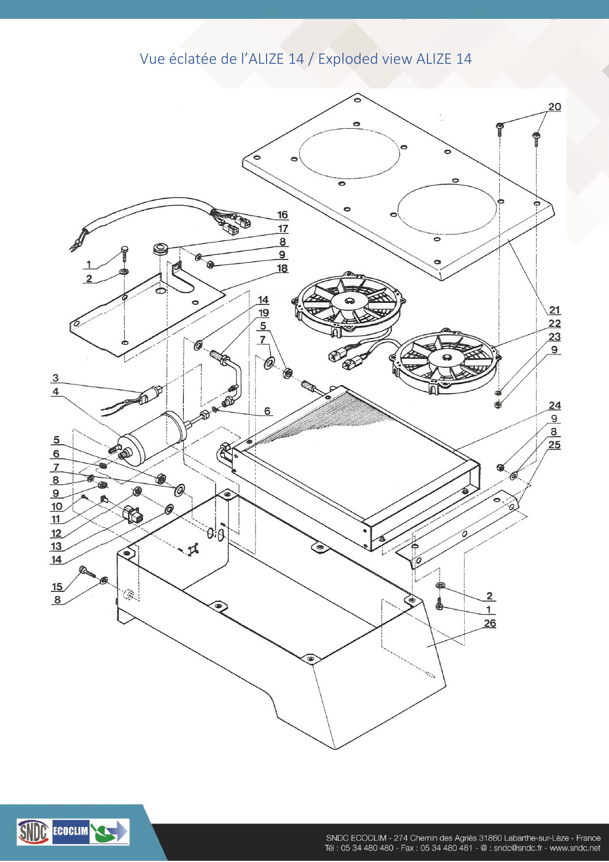## Vue éclatée de l'ALIZE 14 / Exploded view ALIZE 14



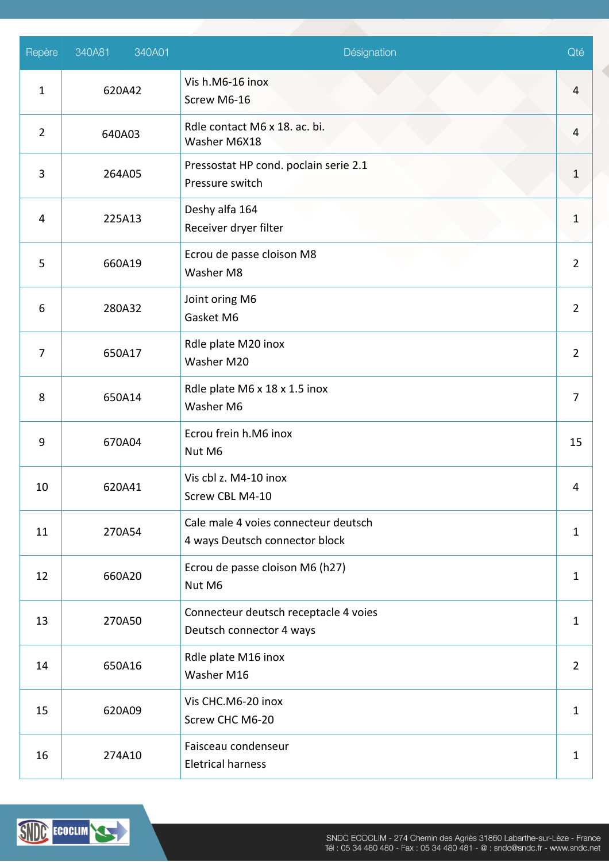| Repère         | 340A01<br>340A81 | Désignation                                                            | Qté            |
|----------------|------------------|------------------------------------------------------------------------|----------------|
| $\mathbf{1}$   | 620A42           | Vis h.M6-16 inox<br>Screw M6-16                                        | $\overline{4}$ |
| $\overline{2}$ | 640A03           | Rdle contact M6 x 18. ac. bi.<br>Washer M6X18                          | 4              |
| 3              | 264A05           | Pressostat HP cond. poclain serie 2.1<br>Pressure switch               | 1              |
| 4              | 225A13           | Deshy alfa 164<br>Receiver dryer filter                                | 1              |
| 5              | 660A19           | Ecrou de passe cloison M8<br>Washer M8                                 | $\overline{2}$ |
| 6              | 280A32           | Joint oring M6<br>Gasket M6                                            | $\overline{2}$ |
| $\overline{7}$ | 650A17           | Rdle plate M20 inox<br>Washer M20                                      | $\overline{2}$ |
| 8              | 650A14           | Rdle plate M6 x 18 x 1.5 inox<br>Washer M6                             | $\overline{7}$ |
| 9              | 670A04           | Ecrou frein h.M6 inox<br>Nut M6                                        | 15             |
| 10             | 620A41           | Vis cbl z. M4-10 inox<br>Screw CBL M4-10                               | 4              |
| 11             | 270A54           | Cale male 4 voies connecteur deutsch<br>4 ways Deutsch connector block | $\mathbf{1}$   |
| 12             | 660A20           | Ecrou de passe cloison M6 (h27)<br>Nut M6                              | $\mathbf{1}$   |
| 13             | 270A50           | Connecteur deutsch receptacle 4 voies<br>Deutsch connector 4 ways      | $\mathbf{1}$   |
| 14             | 650A16           | Rdle plate M16 inox<br>Washer M16                                      | $\overline{2}$ |
| 15             | 620A09           | Vis CHC.M6-20 inox<br>Screw CHC M6-20                                  |                |
| 16             | 274A10           | Faisceau condenseur<br><b>Eletrical harness</b>                        | $\mathbf{1}$   |